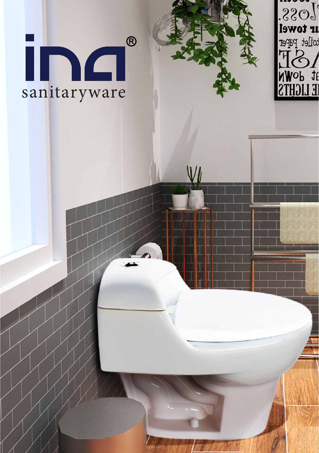## $\bigcirc$ Sanitaryware

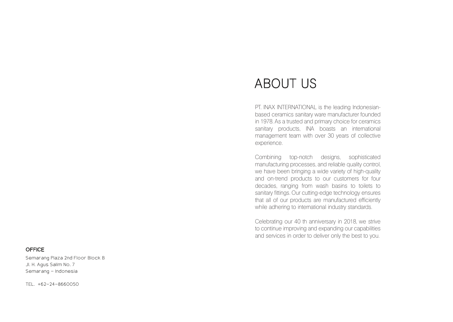## ABOUT US

PT. INAX INTERNATIONAL is the leading Indonesianbased ceramics sanitary ware manufacturer founded in 1978. As a trusted and primary choice for ceramics sanitary products, INA boasts an international management team with over 30 years of collective experience.

Combining top-notch designs, sophisticated manufacturing processes, and reliable quality control, we have been bringing a wide variety of high-quality and on-trend products to our customers for four decades, ranging from wash basins to toilets to sanitary fittings. Our cutting-edge technology ensures that all of our products are manufactured efficiently while adhering to international industry standards.

Celebrating our 40 th anniversary in 2018, we strive to continue improving and expanding our capabilities and services in order to deliver only the best to you.

## **OFFICE**

Semarang Plaza 2nd Floor Block B Jl. H. Agus Salim No, 7 Semarang - Indonesia

TEL. +62-24-8660050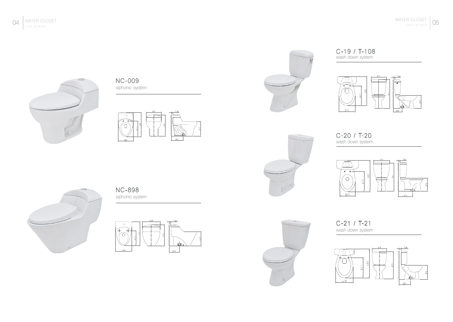

NC-009 siphonic system





C-19 / T-108 wash down system





C-20 / T-20 wash down system





NC-898 siphonic system





C-21 / T-21 wash down system